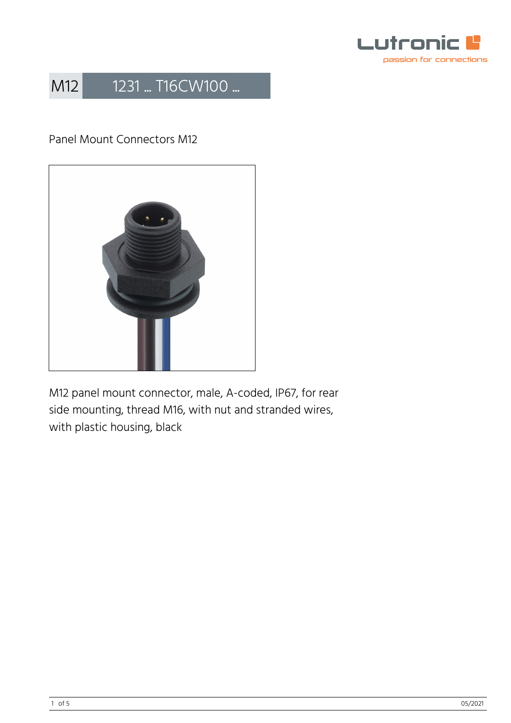

### Panel Mount Connectors M12



M12 panel mount connector, male, A-coded, IP67, for rear side mounting, thread M16, with nut and stranded wires, with plastic housing, black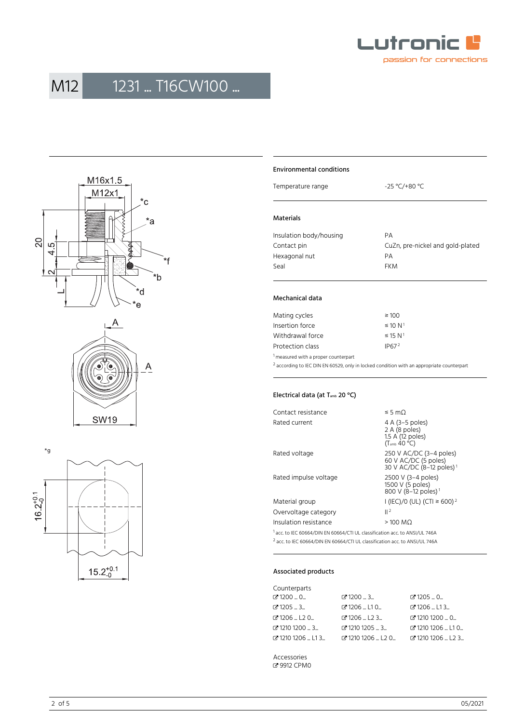







#### Environmental conditions

Temperature range  $-25 \text{ °C}$ /+80 °C

#### Materials

| Insulation body/housing | PА                               |
|-------------------------|----------------------------------|
| Contact pin             | CuZn, pre-nickel and gold-plated |
| Hexagonal nut           | PА                               |
| Seal                    | <b>FKM</b>                       |
|                         |                                  |

#### Mechanical data

| Mating cycles    | $\geq 100$               |
|------------------|--------------------------|
| Insertion force  | $\leq 10 N^1$            |
| Withdrawal force | $\leq$ 15 N <sup>1</sup> |
| Protection class | IP67 <sup>2</sup>        |
|                  |                          |

<sup>1</sup> measured with a proper counterpart

 $^2$  according to IEC DIN EN 60529, only in locked condition with an appropriate counterpart

#### Electrical data (at T<sub>amb</sub> 20 °C)

| Contact resistance    | ≤ 5 mΩ                                                                                    |  |  |
|-----------------------|-------------------------------------------------------------------------------------------|--|--|
| Rated current         | 4 A (3–5 poles)<br>2 A (8 poles)<br>1.5 A (12 poles)<br>$(T_{amb}$ 40 °C)                 |  |  |
| Rated voltage         | 250 V AC/DC $(3-4$ poles)<br>60 V AC/DC (5 poles)<br>30 V AC/DC (8-12 poles) <sup>1</sup> |  |  |
| Rated impulse voltage | 2500 V (3-4 poles)<br>1500 V (5 poles)<br>800 V (8-12 poles) <sup>1</sup>                 |  |  |
| Material group        | I (IEC)/0 (UL) (CTI ≥ 600) <sup>2</sup>                                                   |  |  |
| Overvoltage category  | $  ^2$                                                                                    |  |  |
| Insulation resistance | $>100$ MQ                                                                                 |  |  |
|                       |                                                                                           |  |  |

<sup>1</sup> acc. to IEC 60664/DIN EN 60664/CTI UL classification acc. to ANSI/UL 746A 2 acc. to IEC 60664/DIN EN 60664/CTI UL classification acc. to ANSI/UL 746A

#### Associated products

| Counterparts               |                                            |                                                  |
|----------------------------|--------------------------------------------|--------------------------------------------------|
| $C$ 1200  0                | $C$ 1200 $$ 3 $$                           | $C$ 1205  0                                      |
| $C$ 1205  3                | $C$ 1206  L10                              | $C$ 1206  L13                                    |
| <b>ි</b> 1206  L2 0        | $Z$ 1206 $L$ 123 $L$                       | ₫ 1210 1200  0                                   |
| で1210 1200 … 3…            | $\mathbb{Z}$ 1210 1205 $\ldots$ 3 $\ldots$ | <b>C</b> 1210 1206  L1 0                         |
| <b>B</b> 1210 1206 L L1 3. | $C$ 1210 1206 $L$ L20 $L$                  | <b>C</b> <sup>1</sup> 210 1206  L <sub>2</sub> 3 |

Accessories � [9912 CPM0](https://www.lumberg.com/en/products/product/9912 CPM0)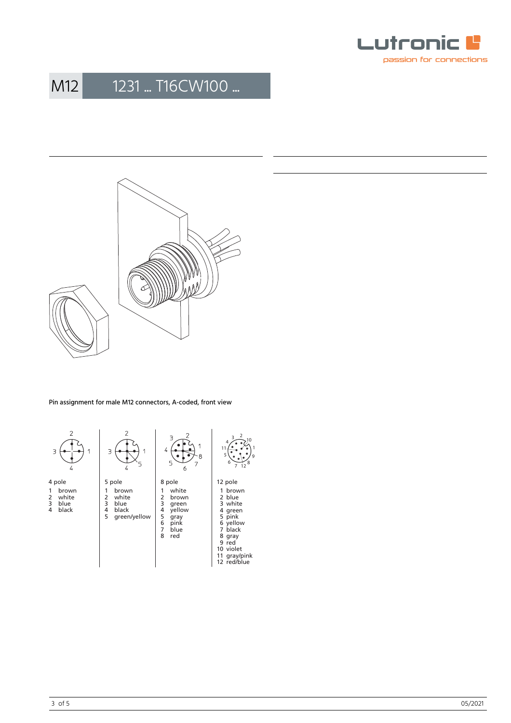



Pin assignment for male M12 connectors, A-coded, front view

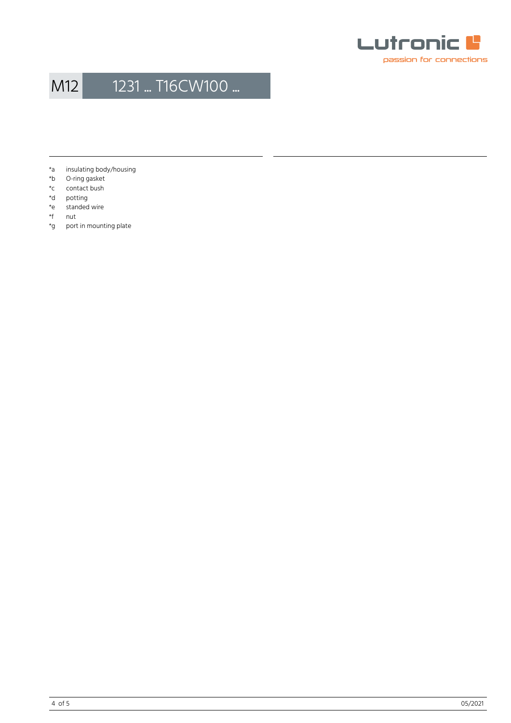

- \*a insulating body/housing<br>\*b O-ring gasket
- O-ring gasket
- \*c contact bush
- 
- \*d potting<br>\*e standed standed wire
- \*f nut
- \*g port in mounting plate